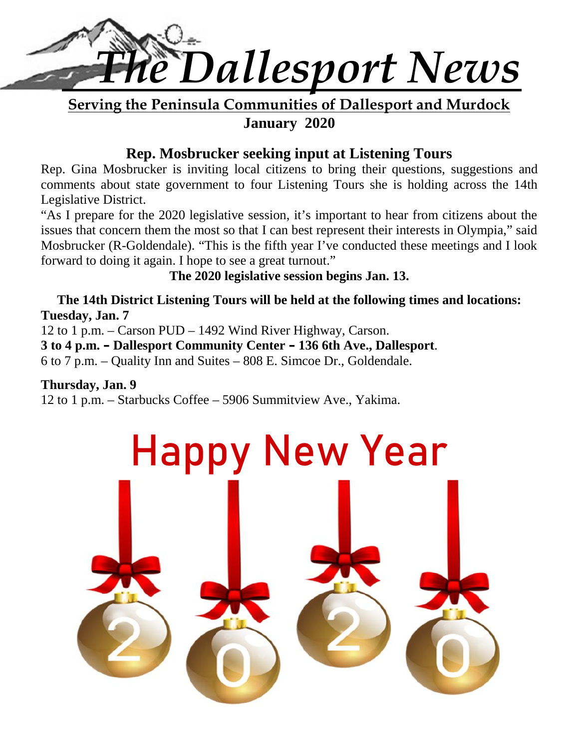

**Serving the Peninsula Communities of Dallesport and Murdock January 2020**

### **Rep. Mosbrucker seeking input at Listening Tours**

Rep. Gina Mosbrucker is inviting local citizens to bring their questions, suggestions and comments about state government to four Listening Tours she is holding across the 14th Legislative District.

"As I prepare for the 2020 legislative session, it's important to hear from citizens about the issues that concern them the most so that I can best represent their interests in Olympia," said Mosbrucker (R-Goldendale). "This is the fifth year I've conducted these meetings and I look forward to doing it again. I hope to see a great turnout."

### **The 2020 legislative session begins Jan. 13.**

### **The 14th District Listening Tours will be held at the following times and locations: Tuesday, Jan. 7**

12 to 1 p.m. – Carson PUD – 1492 Wind River Highway, Carson.

**3 to 4 p.m. – Dallesport Community Center – 136 6th Ave., Dallesport**.

6 to 7 p.m. – Quality Inn and Suites – 808 E. Simcoe Dr., Goldendale.

### **Thursday, Jan. 9**

12 to 1 p.m. – Starbucks Coffee – 5906 Summitview Ave., Yakima.

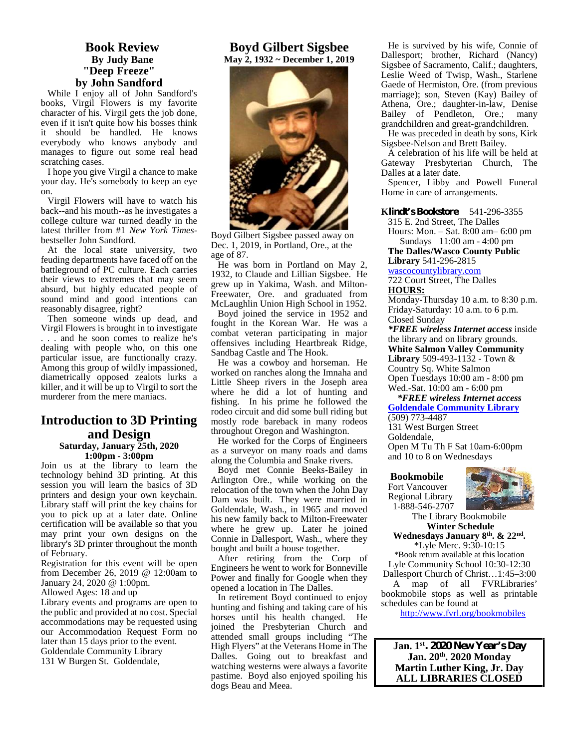### **Book Review By Judy Bane "Deep Freeze" by John Sandford**

While I enjoy all of John Sandford's books, Virgil Flowers is my favorite character of his. Virgil gets the job done, even if it isn't quite how his bosses think it should be handled. He knows everybody who knows anybody and manages to figure out some real head scratching cases.

I hope you give Virgil a chance to make your day. He's somebody to keep an eye on.

Virgil Flowers will have to watch his back--and his mouth--as he investigates a college culture war turned deadly in the latest thriller from #1 *New York Times* bestseller John Sandford.

At the local state university, two feuding departments have faced off on the battleground of PC culture. Each carries their views to extremes that may seem absurd, but highly educated people of sound mind and good intentions can reasonably disagree, right?

Then someone winds up dead, and Virgil Flowers is brought in to investigate . . . and he soon comes to realize he's dealing with people who, on this one particular issue, are functionally crazy. Among this group of wildly impassioned, diametrically opposed zealots lurks a killer, and it will be up to Virgil to sort the murderer from the mere maniacs.

### **Introduction to 3D Printing and Design**

**Saturday, January 25th, 2020 1:00pm - 3:00pm**

Join us at the library to learn the technology behind 3D printing. At this session you will learn the basics of 3D printers and design your own keychain. Library staff will print the key chains for you to pick up at a later date. Online certification will be available so that you may print your own designs on the library's 3D printer throughout the month of February.

Registration for this event will be open from December 26, 2019 @ 12:00am to January 24, 2020 @ 1:00pm.

Allowed Ages: 18 and up

Library events and programs are open to the public and provided at no cost. Special accommodations may be requested using our Accommodation Request Form no later than 15 days prior to the event. Goldendale Community Library 131 W Burgen St. Goldendale,

### **Boyd Gilbert Sigsbee May 2, 1932 ~ December 1, 2019**



Boyd Gilbert Sigsbee passed away on Dec. 1, 2019, in Portland, Ore., at the age of 87.

He was born in Portland on May 2, 1932, to Claude and Lillian Sigsbee. He grew up in Yakima, Wash. and Milton- Freewater, Ore. and graduated from McLaughlin Union High School in 1952.

Boyd joined the service in 1952 and fought in the Korean War. He was a combat veteran participating in major offensives including Heartbreak Ridge, Sandbag Castle and The Hook.

He was a cowboy and horseman. He worked on ranches along the Imnaha and Little Sheep rivers in the Joseph area where he did a lot of hunting and fishing. In his prime he followed the rodeo circuit and did some bull riding but mostly rode bareback in many rodeos throughout Oregon and Washington.

He worked for the Corps of Engineers as a surveyor on many roads and dams along the Columbia and Snake rivers.

Boyd met Connie Beeks-Bailey in Arlington Ore., while working on the relocation of the town when the John Day Dam was built. They were married in Goldendale, Wash., in 1965 and moved his new family back to Milton-Freewater where he grew up. Later he joined Connie in Dallesport, Wash., where they bought and built a house together.

After retiring from the Corp of Engineers he went to work for Bonneville Power and finally for Google when they opened a location in The Dalles.

In retirement Boyd continued to enjoy hunting and fishing and taking care of his horses until his health changed. He joined the Presbyterian Church and attended small groups including "The High Flyers" at the Veterans Home in The Dalles. Going out to breakfast and watching westerns were always a favorite pastime. Boyd also enjoyed spoiling his dogs Beau and Meea.

He is survived by his wife, Connie of Dallesport; brother, Richard (Nancy) Sigsbee of Sacramento, Calif.; daughters, Leslie Weed of Twisp, Wash., Starlene Gaede of Hermiston, Ore. (from previous marriage); son, Steven (Kay) Bailey of Athena, Ore.; daughter-in-law, Denise Bailey of Pendleton, Ore.; many grandchildren and great-grandchildren. He was preceded in death by sons, Kirk

Sigsbee-Nelson and Brett Bailey.

A celebration of his life will be held at Gateway Presbyterian Church, The Dalles at a later date.

Spencer, Libby and Powell Funeral Home in care of arrangements.

**Klindt's Bookstore** 541-296-3355

315 E. 2nd Street, The Dalles Hours: Mon. – Sat.8:00 am– 6:00 pm Sundays 11:00 am - 4:00 pm

**The Dalles/Wasco County Public Library** 541-296-2815

wascocountylibrary.com

722 Court Street, The Dalles **HOURS:**

Monday-Thursday 10 a.m. to 8:30 p.m. Friday-Saturday: 10 a.m. to 6 p.m. Closed Sunday

*\*FREE wireless Internet access* inside the library and on library grounds. **White Salmon Valley Community Library** 509-493-1132 - Town & Country Sq. White Salmon

Open Tuesdays 10:00 am - 8:00 pm Wed.-Sat. 10:00 am - 6:00 pm

*\*FREE wireless Internet access* **Goldendale Community Library** (509) 773-4487

131 West Burgen Street Goldendale, Open M Tu Th F Sat 10am-6:00pm and 10 to 8 on Wednesdays

### **Bookmobile**

Fort Vancouver Regional Library 1-888-546-2707



The Library Bookmobile **Winter Schedule**

**Wednesdays January 8th. & 22nd .** \*Lyle Merc. 9:30-10:15

\*Book return available at this location Lyle Community School 10:30-12:30 Dallesport Church of Christ…1:45–3:00 A map of all FVRLibraries' bookmobile stops as well as printable schedules can be found at

http://www.fvrl.org/bookmobiles

**Jan. 1st. 2020 New Year's Day Jan. 20th . 2020 Monday Martin Luther King, Jr. Day ALL LIBRARIES CLOSED**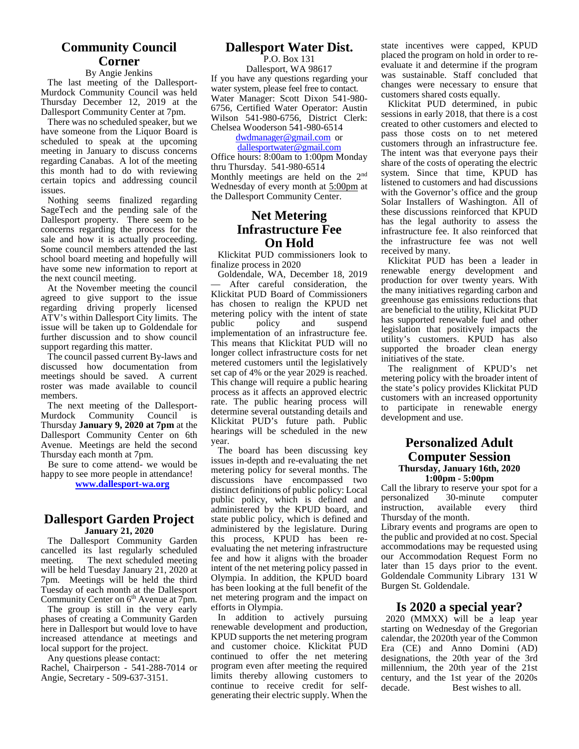### **Community Council Corner**

### By Angie Jenkins

The last meeting of the Dallesport- Murdock Community Council was held Thursday December 12, 2019 at the Dallesport Community Center at 7pm.

There was no scheduled speaker, but we have someone from the Liquor Board is scheduled to speak at the upcoming meeting in January to discuss concerns regarding Canabas. A lot of the meeting this month had to do with reviewing certain topics and addressing council issues.

Nothing seems finalized regarding SageTech and the pending sale of the Dallesport property. There seem to be concerns regarding the process for the sale and how it is actually proceeding. Some council members attended the last school board meeting and hopefully will have some new information to report at the next council meeting.

At the November meeting the council agreed to give support to the issue regarding driving properly licensed ATV's within Dallesport City limits. The metern issue will be taken up to Goldendale for further discussion and to show council support regarding this matter.

The council passed current By-laws and discussed how documentation from meetings should be saved. A current roster was made available to council members.

The next meeting of the Dallesport- Murdock Community Council is Thursday **January 9, 2020 at 7pm** at the Dallesport Community Center on 6th Avenue. Meetings are held the second Thursday each month at 7pm.

Be sure to come attend- we would be happy to see more people in attendance!

**www.dallesport-wa.org**

### **Dallesport Garden Project January 21, 2020**

The Dallesport Community Garden cancelled its last regularly scheduled<br>meeting. The next scheduled meeting The next scheduled meeting. will be held Tuesday January 21, 2020 at 7pm. Meetings will be held the third Tuesday of each month at the Dallesport Community Center on 6<sup>th</sup> Avenue at 7pm.

The group is still in the very early phases of creating a Community Garden here in Dallesport but would love to have increased attendance at meetings and local support for the project.

Any questions please contact: Rachel, Chairperson - 541-288-7014 or Angie, Secretary - 509-637-3151.

### **Dallesport Water Dist.**

P.O. Box 131 Dallesport, WA 98617 If you have any questions regarding your water system, please feel free to contact. Water Manager: Scott Dixon 541-980- 6756, Certified Water Operator: Austin Wilson 541-980-6756, District Clerk: Chelsea Wooderson 541-980-6514

### dwdmanager@gmail.com or

dallesportwater@gmail.com Office hours: 8:00am to 1:00pm Monday thru Thursday. 541-980-6514 Monthly meetings are held on the 2nd Wednesday of every month at 5:00pm at the Dallesport Community Center.

### **Net Metering Infrastructure Fee On Hold**

Klickitat PUD commissioners look to finalize process in 2020

Goldendale, WA, December 18, 2019 After careful consideration, the Klickitat PUD Board of Commissioners has chosen to realign the KPUD net metering policy with the intent of state<br>public policy and suspend and suspend implementation of an infrastructure fee. This means that Klickitat PUD will no longer collect infrastructure costs for net metered customers until the legislatively set cap of 4% or the year 2029 is reached. This change will require a public hearing process as it affects an approved electric rate. The public hearing process will determine several outstanding details and Klickitat PUD's future path. Public hearings will be scheduled in the new year.

The board has been discussing key issues in-depth and re-evaluating the net metering policy for several months. The discussions have encompassed two distinct definitions of public policy: Local public policy, which is defined and personalized<br>administered by the KPUD board and instruction. administered by the KPUD board, and state public policy, which is defined and administered by the legislature. During this process, KPUD has been re evaluating the net metering infrastructure fee and how it aligns with the broader intent of the net metering policy passed in Olympia. In addition, the KPUD board has been looking at the full benefit of the net metering program and the impact on efforts in Olympia.

In addition to actively pursuing renewable development and production, KPUD supports the net metering program and customer choice. Klickitat PUD continued to offer the net metering program even after meeting the required limits thereby allowing customers to continue to receive credit for self-<br>decade. generating their electric supply. When the

state incentives were capped, KPUD placed the program on hold in order to re evaluate it and determine if the program was sustainable. Staff concluded that changes were necessary to ensure that customers shared costs equally.

Klickitat PUD determined, in pubic sessions in early 2018, that there is a cost created to other customers and elected to pass those costs on to net metered customers through an infrastructure fee. The intent was that everyone pays their share of the costs of operating the electric system. Since that time, KPUD has listened to customers and had discussions with the Governor's office and the group Solar Installers of Washington. All of these discussions reinforced that KPUD has the legal authority to assess the infrastructure fee. It also reinforced that the infrastructure fee was not well received by many.

Klickitat PUD has been a leader in renewable energy development and production for over twenty years. With the many initiatives regarding carbon and greenhouse gas emissions reductions that are beneficial to the utility, Klickitat PUD has supported renewable fuel and other legislation that positively impacts the utility's customers. KPUD has also supported the broader clean energy initiatives of the state.

The realignment of KPUD's net metering policy with the broader intent of the state's policy provides Klickitat PUD customers with an increased opportunity to participate in renewable energy development and use.

### **Personalized Adult Computer Session Thursday, January 16th, 2020 1:00pm - 5:00pm**

Call the library to reserve your spot for a<br>personalized 30-minute computer personalized available every third Thursday of the month.

Library events and programs are open to the public and provided at no cost. Special accommodations may be requested using our Accommodation Request Form no later than 15 days prior to the event. Goldendale Community Library 131 W Burgen St. Goldendale.

### **Is 2020 a special year?**

2020 (MMXX) will be a leap year starting on Wednesday of the Gregorian calendar, the 2020th year of the Common Era (CE) and Anno Domini (AD) designations, the 20th year of the 3rd millennium, the 20th year of the 21st century, and the 1st year of the 2020s Best wishes to all.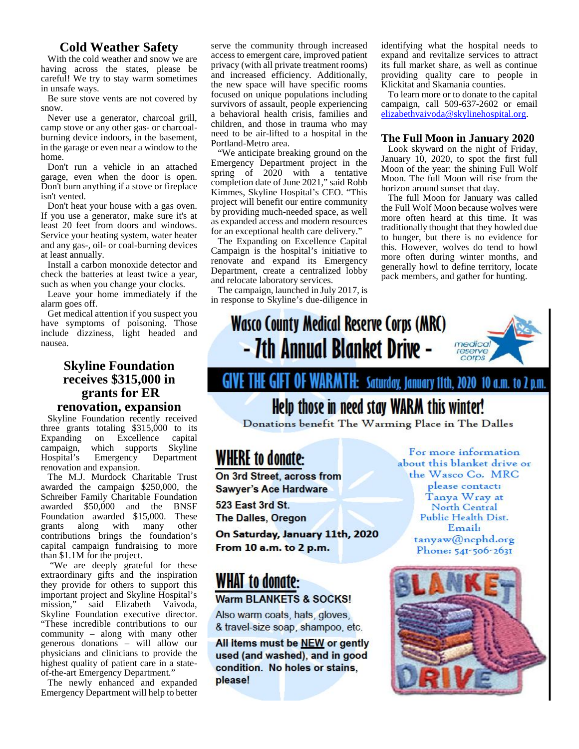### **Cold Weather Safety**

With the cold weather and snow we are having across the states, please be careful! We try to stay warm sometimes in unsafe ways.

Be sure stove vents are not covered by snow.

Never use a generator, charcoal grill, camp stove or any other gas- or charcoal burning device indoors, in the basement, in the garage or even near a window to the home.

Don't run a vehicle in an attached garage, even when the door is open. Don't burn anything if a stove or fireplace isn't vented.

Don't heat your house with a gas oven. If you use a generator, make sure it's at least 20 feet from doors and windows. Service your heating system, water heater and any gas-, oil- or coal-burning devices at least annually.

Install a carbon monoxide detector and check the batteries at least twice a year, such as when you change your clocks.

Leave your home immediately if the alarm goes off.

have symptoms of poisoning. Those include dizziness, light headed and nausea.

### **receives \$315,000 in grants for ER renovation, expansion**

Skyline Foundation recently received three grants totaling \$315,000 to its Expanding on Excellence capital campaign, which supports Skyline<br>Hospital's Emergency Department WHERE to donate: Hospital's Emergency Department renovation and expansion.

awarded the campaign \$250,000, the Sawyer's Ace Hardware Schreiber Family Charitable Foundation<br>awarded \$50,000 and the BNSF 523 East 3rd St. awarded \$50,000 and the BNSF Foundation awarded \$15,000. These **The Dalles, Oregon**<br>grants along with many other along with many other<br>utions brings the foundation's **On Saturday, January 11th, 2020** contributions brings the foundation's capital campaign fundraising to more From 10 a.m. to 2 p.m. than \$1.1M for the project.

"We are deeply grateful for these extraordinary gifts and the inspiration **WII** extraordinary gitts and the inspiration<br>they provide for others to support this **WHAT to donate:** important project and Skyline Hospital's Warm BLANKETS & SOCKS! mission," said Elizabeth Vaivoda, Skyline Foundation executive director. "These incredible contributions to our & travel-size soap, shampoo, etc. community – along with many other<br>generous donations – will allow our<br>**All items must be NEW or gently** generous donations – will allow our physicians and clinicians to provide the used (and washed), and in good highest quality of patient care in a state-<br>condition. No holes or stains, of-the-art Emergency Department."

The newly enhanced and expanded **please!** Emergency Department will help to better

serve the community through increased access to emergent care, improved patient privacy (with all private treatment rooms) and increased efficiency. Additionally, the new space will have specific rooms focused on unique populations including survivors of assault, people experiencing a behavioral health crisis, families and children, and those in trauma who may need to be air-lifted to a hospital in the Portland-Metro area.

"We anticipate breaking ground on the Emergency Department project in the spring of 2020 with a tentative completion date of June 2021," said Robb Kimmes, Skyline Hospital's CEO. "This project will benefit our entire community by providing much-needed space, as well as expanded access and modern resources for an exceptional health care delivery."

The Expanding on Excellence Capital Campaign is the hospital's initiative to renovate and expand its Emergency Department, create a centralized lobby and relocate laboratory services.

The campaign, launched in July 2017, is in response to Skyline's due-diligence in identifying what the hospital needs to expand and revitalize services to attract its full market share, as well as continue providing quality care to people in Klickitat and Skamania counties.

To learn more or to donate to the capital campaign, call 509-637-2602 or email elizabethvaivoda@skylinehospital.org.

### **The Full Moon in January 2020**

Look skyward on the night of Friday, January 10, 2020, to spot the first full Moon of the year: the shining Full Wolf Moon. The full Moon will rise from the horizon around sunset that day.

The full Moon for January was called the Full Wolf Moon because wolves were more often heard at this time. It was traditionally thought that they howled due to hunger, but there is no evidence for this. However, wolves do tend to howl more often during winter months, and generally howl to define territory, locate pack members, and gather for hunting.

### Get medical attention if you suspect you<br>ave symptoms of poisoning. Those **Wasco County Medical Reserve Corps (MRC)** - 7th Annual Blanket Drive medical reserve

## Skyline Foundation<br>receives \$315,000 in **GIVE THE GIFT OF WARMTH:** Saturday, January 11th, 2020 10 a.m. to 2 p.m.

### Help those in need stay WARM this winter!

Donations benefit The Warming Place in The Dalles

The M.J. Murdock Charitable Trust **On 3rd Street, across from** 

Also warm coats, hats, gloves,

For more information about this blanket drive or the Wasco Co. MRC please contact: Tanya Wray at North Central Public Health Dist.

> Email: tanyaw@ncphd.org Phone: 541-506-2631

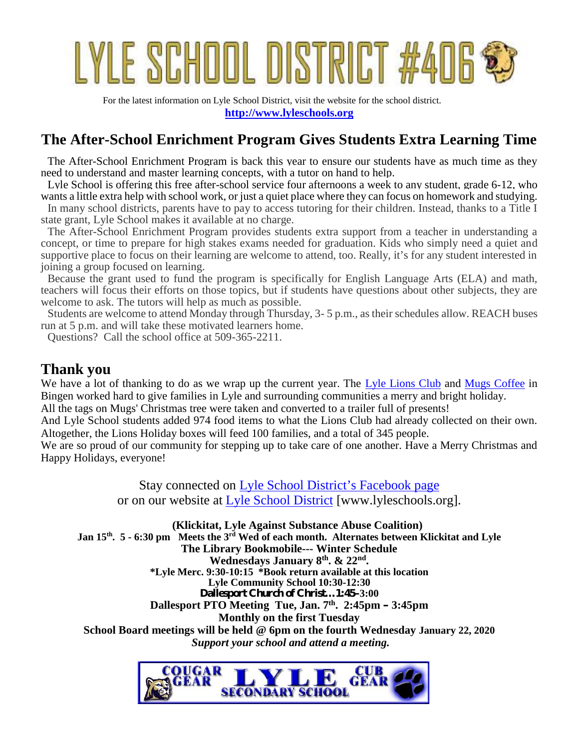# YLE SCHOOL DISTRICT :

For the latest information on Lyle School District, visit the website for the school district. **http://www.lyleschools.org**

### **The After-School Enrichment Program Gives Students Extra Learning Time**

The After-School Enrichment Program is back this year to ensure our students have as much time as they need to understand and master learning concepts, with a tutor on hand to help.

Lyle School is offering this free after-school service four afternoons a week to any student, grade 6-12, who wants a little extra help with school work, or just a quiet place where they can focus on homework and studying.

In many school districts, parents have to pay to access tutoring for their children. Instead, thanks to a Title I state grant, Lyle School makes it available at no charge.

The After-School Enrichment Program provides students extra support from a teacher in understanding a concept, or time to prepare for high stakes exams needed for graduation. Kids who simply need a quiet and supportive place to focus on their learning are welcome to attend, too. Really, it's for any student interested in joining a group focused on learning.

Because the grant used to fund the program is specifically for English Language Arts (ELA) and math, teachers will focus their efforts on those topics, but if students have questions about other subjects, they are welcome to ask. The tutors will help as much as possible.

Students are welcome to attend Monday through Thursday, 3- 5 p.m., as their schedules allow. REACH buses run at 5 p.m. and will take these motivated learners home.

Questions? Call the school office at 509-365-2211.

### **Thank you**

We have a lot of thanking to do as we wrap up the current year. The Lyle Lions Club and Mugs Coffee in Bingen worked hard to give families in Lyle and surrounding communities a merry and bright holiday.

All the tags on Mugs' Christmas tree were taken and converted to a trailer full of presents!

And Lyle School students added 974 food items to what the Lions Club had already collected on their own. Altogether, the Lions Holiday boxes will feed 100 families, and a total of 345 people.

We are so proud of our community for stepping up to take care of one another. Have a Merry Christmas and Happy Holidays, everyone!

> Stay connected on Lyle School District's Facebook page or on our website at Lyle School District [www.lyleschools.org].

**(Klickitat, Lyle Against Substance Abuse Coalition) Jan 15th. 5 - 6:30 pm Meets the 3rd Wed of each month. Alternates between Klickitat and Lyle The Library Bookmobile--- Winter Schedule Wednesdays January 8th. & 22nd . \*Lyle Merc. 9:30-10:15 \*Book return available at this location Lyle Community School 10:30-12:30 Dallesport Church of Christ…1:45–3:00 Dallesport PTO Meeting Tue, Jan. 7 th . 2:45pm – 3:45pm Monthly on the first Tuesday School Board meetings will be held @ 6pm on the fourth Wednesday January 22, 2020** *Support your school and attend a meeting.*

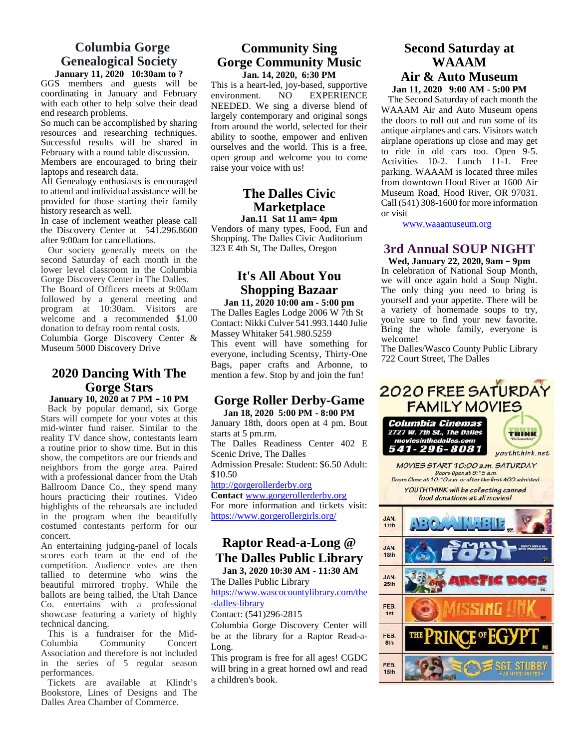### **Columbia Gorge Genealogical Society January 11, 2020 10:30am to ?**

GGS members and guests will be coordinating in January and February environment. with each other to help solve their dead end research problems.

So much can be accomplished by sharing resources and researching techniques. Successful results will be shared in February with a round table discussion.

Members are encouraged to bring their laptops and research data.

All Genealogy enthusiasts is encouraged to attend and individual assistance will be provided for those starting their family history research as well.

In case of inclement weather please call the Discovery Center at 541.296.8600 after 9:00am for cancellations.

Our society generally meets on the second Saturday of each month in the lower level classroom in the Columbia Gorge Discovery Center in The Dalles. The Board of Officers meets at 9:00am followed by a general meeting and program at 10:30am. Visitors are welcome and a recommended \$1.00 donation to defray room rental costs. Columbia Gorge Discovery Center & Museum 5000 Discovery Drive

### **2020 Dancing With The Gorge Stars**

**January 10, 2020 at 7 PM – 10 PM** Back by popular demand, six Gorge Stars will compete for your votes at this mid-winter fund raiser. Similar to the reality TV dance show, contestants learn a routine prior to show time. But in this show, the competitors are our friends and neighbors from the gorge area. Paired with a professional dancer from the Utah Ballroom Dance Co., they spend many hours practicing their routines. Video highlights of the rehearsals are included in the program when the beautifully costumed contestants perform for our concert.

An entertaining judging-panel of locals scores each team at the end of the competition. Audience votes are then tallied to determine who wins the beautiful mirrored trophy. While the ballots are being tallied, the Utah Dance Co. entertains with a professional showcase featuring a variety of highly technical dancing.

This is a fundraiser for the Mid- Columbia Community Concert Association and therefore is not included in the series of 5 regular season performances.

Tickets are available at Klindt's Bookstore, Lines of Designs and The Dalles Area Chamber of Commerce.

### **Community Sing Gorge Community Music Jan. 14, 2020, 6:30 PM**

This is a heart-led, joy-based, supportive<br>environment. NO EXPERIENCE **EXPERIENCE** NEEDED. We sing a diverse blend of largely contemporary and original songs from around the world, selected for their ability to soothe, empower and enliven ourselves and the world. This is a free, open group and welcome you to come raise your voice with us!

### **The Dalles Civic Marketplace**

**Jan.11 Sat 11 am= 4pm** Vendors of many types, Food, Fun and Shopping. The Dalles Civic Auditorium 323 E 4th St, The Dalles, Oregon

### **It's All About You Shopping Bazaar**

**Jan 11, 2020 10:00 am - 5:00 pm** The Dalles Eagles Lodge 2006 W 7th St Contact: Nikki Culver 541.993.1440 Julie Massey Whitaker 541.980.5259 This event will have something for everyone, including Scentsy, Thirty-One Bags, paper crafts and Arbonne, to mention a few. Stop by and join the fun!

**Jan 18, 2020 5:00 PM - 8:00 PM**<br>
uary 18th. doors open at 4 pm. Bout **Columbia Cinemas** January 18th, doors open at 4 pm. Bout starts at 5 pm.rm.

The Dalles Readiness Center 402 E **movies in the dalles.com** Scenic Drive, The Dalles Admission Presale: Student: \$6.50 Adult:

\$10.50

http://gorgerollerderby.org

**Contact** www.gorgerollerderby.org For more information and tickets visit: https://www.gorgerollergirls.org/

### **Raptor Read-a-Long @ The Dalles Public Library**

**Jan 3, 2020 10:30 AM - 11:30 AM** The Dalles Public Library

https://www.wascocountylibrary.com/the -dalles-library

Contact: (541)296-2815

Columbia Gorge Discovery Center will be at the library for a Raptor Read-a-Long.

This program is free for all ages! CGDC will bring in a great horned owl and read **15th** a children's book.

### **Second Saturday at WAAAM Air & Auto Museum**

**Jan 11, 2020 9:00 AM - 5:00 PM**

The Second Saturday of each month the WAAAM Air and Auto Museum opens the doors to roll out and run some of its antique airplanes and cars. Visitors watch airplane operations up close and may get to ride in old cars too. Open 9-5. Activities 10-2. Lunch 11-1. Free parking. WAAAM is located three miles from downtown Hood River at 1600 Air Museum Road, Hood River, OR 97031. Call (541) 308-1600 for more information or visit

www.waaamuseum.org

### **3rd Annual SOUP NIGHT**

**Wed, January 22, 2020, 9am – 9pm** In celebration of National Soup Month, we will once again hold a Soup Night. The only thing you need to bring is yourself and your appetite. There will be a variety of homemade soups to try, you're sure to find your new favorite. Bring the whole family, everyone is welcome!

The Dalles/Wasco County Public Library 722 Court Street, The Dalles

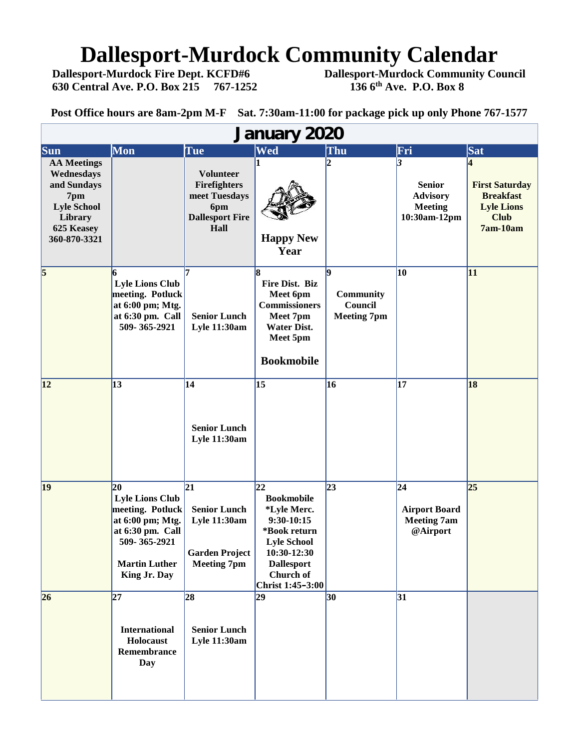# **Dallesport-Murdock Community Calendar**<br>Dallesport-Murdock Fire Dept. KCFD#6 Dallesport-Murdock Community Co

**630 Central Ave. P.O. Box 215 767-1252** 

**Dallesport-Murdock Community Council**<br>136 6<sup>th</sup> Ave. P.O. Box 8

**Post Office hours are 8am-2pm M-F Sat. 7:30am-11:00 for package pick up only Phone 767-1577**

| <b>January 2020</b>                                                                                                   |                                                                                                                                                       |                                                                                                  |                                                                                                                                                                   |                                                 |                                                                          |                                                                                           |
|-----------------------------------------------------------------------------------------------------------------------|-------------------------------------------------------------------------------------------------------------------------------------------------------|--------------------------------------------------------------------------------------------------|-------------------------------------------------------------------------------------------------------------------------------------------------------------------|-------------------------------------------------|--------------------------------------------------------------------------|-------------------------------------------------------------------------------------------|
| Sun                                                                                                                   | Mon                                                                                                                                                   | Tue                                                                                              | Wed                                                                                                                                                               | Thu                                             | Fri                                                                      | Sat                                                                                       |
| <b>AA Meetings</b><br>Wednesdays<br>and Sundays<br>7pm<br><b>Lyle School</b><br>Library<br>625 Keasey<br>360-870-3321 |                                                                                                                                                       | <b>Volunteer</b><br>Firefighters<br>meet Tuesdays<br>6pm<br><b>Dallesport Fire</b><br>Hall       | <b>Happy New</b><br>Year                                                                                                                                          |                                                 | 13<br><b>Senior</b><br><b>Advisory</b><br><b>Meeting</b><br>10:30am-12pm | <b>First Saturday</b><br><b>Breakfast</b><br><b>Lyle Lions</b><br><b>Club</b><br>7am-10am |
| $\vert 5 \vert$                                                                                                       | <b>Lyle Lions Club</b><br>meeting. Potluck<br>at 6:00 pm; Mtg.<br>at 6:30 pm. Call<br>509-365-2921                                                    | l7<br><b>Senior Lunch</b><br><b>Lyle 11:30am</b>                                                 | Fire Dist. Biz<br>Meet 6pm<br><b>Commissioners</b><br>Meet 7pm<br><b>Water Dist.</b><br>Meet 5pm<br><b>Bookmobile</b>                                             | g<br>Community<br>Council<br><b>Meeting 7pm</b> | 10                                                                       | 11                                                                                        |
| 12                                                                                                                    | 13                                                                                                                                                    | 14<br><b>Senior Lunch</b><br>Lyle 11:30am                                                        | 15                                                                                                                                                                | 16                                              | 17                                                                       | 18                                                                                        |
| 19                                                                                                                    | $20 \,$<br><b>Lyle Lions Club</b><br>meeting. Potluck<br>at 6:00 pm; Mtg.<br>at 6:30 pm. Call<br>509-365-2921<br><b>Martin Luther</b><br>King Jr. Day | 21 <br><b>Senior Lunch</b><br><b>Lyle 11:30am</b><br><b>Garden Project</b><br><b>Meeting 7pm</b> | 22<br><b>Bookmobile</b><br>*Lyle Merc.<br>$9:30-10:15$<br>*Book return<br><b>Lyle School</b><br>10:30-12:30<br><b>Dallesport</b><br>Church of<br>Christ 1:45-3:00 | 23                                              | 24 <br><b>Airport Board</b><br><b>Meeting 7am</b><br>@Airport            | 25                                                                                        |
| 26                                                                                                                    | $\overline{27}$<br><b>International</b><br>Holocaust<br>Remembrance<br><b>Day</b>                                                                     | 28<br><b>Senior Lunch</b><br><b>Lyle 11:30am</b>                                                 | 29                                                                                                                                                                | 30 <sup>°</sup>                                 | $\overline{31}$                                                          |                                                                                           |